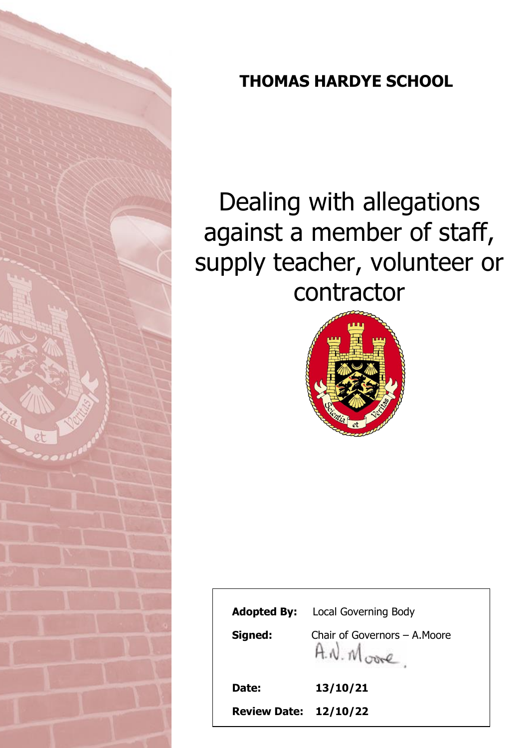

# **THOMAS HARDYE SCHOOL**

# Dealing with allegations against a member of staff, supply teacher, volunteer or contractor



| Date:   | $H.W.M \rightarrow$<br>13/10/21         |
|---------|-----------------------------------------|
| Signed: | Chair of Governors – A.Moore            |
|         | <b>Adopted By:</b> Local Governing Body |
|         |                                         |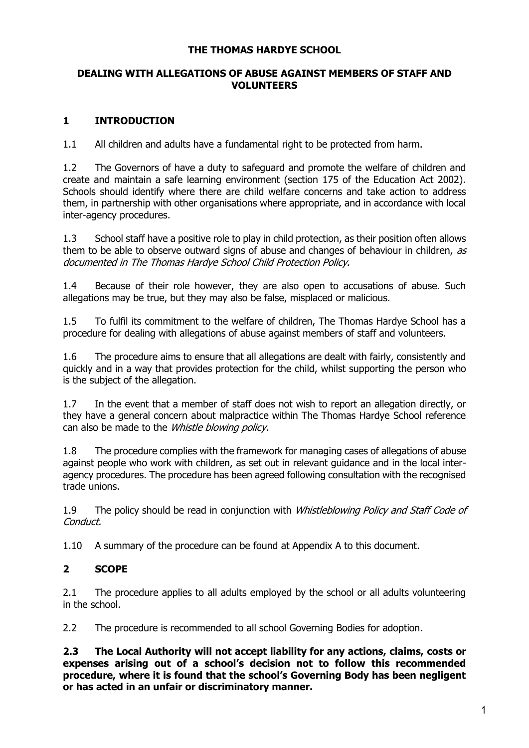#### **THE THOMAS HARDYE SCHOOL**

#### **DEALING WITH ALLEGATIONS OF ABUSE AGAINST MEMBERS OF STAFF AND VOLUNTEERS**

# **1 INTRODUCTION**

1.1 All children and adults have a fundamental right to be protected from harm.

1.2 The Governors of have a duty to safeguard and promote the welfare of children and create and maintain a safe learning environment (section 175 of the Education Act 2002). Schools should identify where there are child welfare concerns and take action to address them, in partnership with other organisations where appropriate, and in accordance with local inter-agency procedures.

1.3 School staff have a positive role to play in child protection, as their position often allows them to be able to observe outward signs of abuse and changes of behaviour in children,  $as$ documented in The Thomas Hardye School Child Protection Policy.

1.4 Because of their role however, they are also open to accusations of abuse. Such allegations may be true, but they may also be false, misplaced or malicious.

1.5 To fulfil its commitment to the welfare of children, The Thomas Hardye School has a procedure for dealing with allegations of abuse against members of staff and volunteers.

1.6 The procedure aims to ensure that all allegations are dealt with fairly, consistently and quickly and in a way that provides protection for the child, whilst supporting the person who is the subject of the allegation.

1.7 In the event that a member of staff does not wish to report an allegation directly, or they have a general concern about malpractice within The Thomas Hardye School reference can also be made to the *Whistle blowing policy.* 

1.8 The procedure complies with the framework for managing cases of allegations of abuse against people who work with children, as set out in relevant guidance and in the local interagency procedures. The procedure has been agreed following consultation with the recognised trade unions.

1.9 The policy should be read in conjunction with *Whistleblowing Policy and Staff Code of* Conduct.

1.10 A summary of the procedure can be found at Appendix A to this document.

### **2 SCOPE**

2.1 The procedure applies to all adults employed by the school or all adults volunteering in the school.

2.2 The procedure is recommended to all school Governing Bodies for adoption.

**2.3 The Local Authority will not accept liability for any actions, claims, costs or expenses arising out of a school's decision not to follow this recommended procedure, where it is found that the school's Governing Body has been negligent or has acted in an unfair or discriminatory manner.**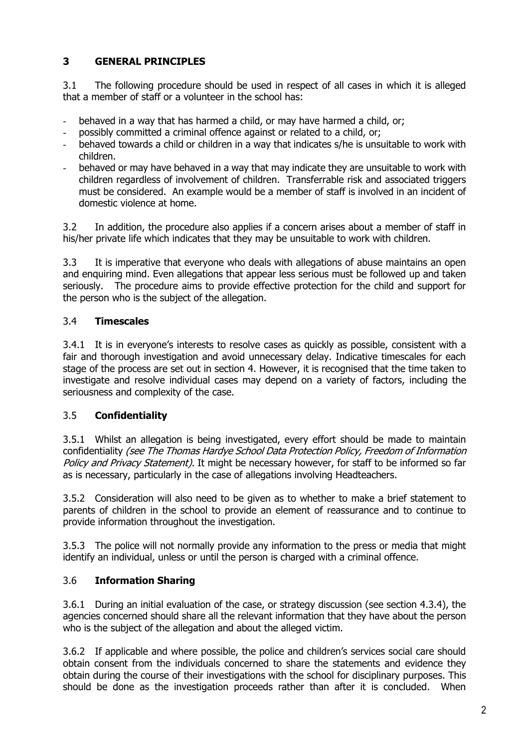# **3 GENERAL PRINCIPLES**

3.1 The following procedure should be used in respect of all cases in which it is alleged that a member of staff or a volunteer in the school has:

- behaved in a way that has harmed a child, or may have harmed a child, or;
- possibly committed a criminal offence against or related to a child, or;
- behaved towards a child or children in a way that indicates s/he is unsuitable to work with children.
- behaved or may have behaved in a way that may indicate they are unsuitable to work with children regardless of involvement of children. Transferrable risk and associated triggers must be considered. An example would be a member of staff is involved in an incident of domestic violence at home.

3.2 In addition, the procedure also applies if a concern arises about a member of staff in his/her private life which indicates that they may be unsuitable to work with children.

3.3 It is imperative that everyone who deals with allegations of abuse maintains an open and enquiring mind. Even allegations that appear less serious must be followed up and taken seriously. The procedure aims to provide effective protection for the child and support for the person who is the subject of the allegation.

#### 3.4 **Timescales**

3.4.1 It is in everyone's interests to resolve cases as quickly as possible, consistent with a fair and thorough investigation and avoid unnecessary delay. Indicative timescales for each stage of the process are set out in section 4. However, it is recognised that the time taken to investigate and resolve individual cases may depend on a variety of factors, including the seriousness and complexity of the case.

#### 3.5 **Confidentiality**

3.5.1 Whilst an allegation is being investigated, every effort should be made to maintain confidentiality (see The Thomas Hardye School Data Protection Policy, Freedom of Information Policy and Privacy Statement). It might be necessary however, for staff to be informed so far as is necessary, particularly in the case of allegations involving Headteachers.

3.5.2 Consideration will also need to be given as to whether to make a brief statement to parents of children in the school to provide an element of reassurance and to continue to provide information throughout the investigation.

3.5.3 The police will not normally provide any information to the press or media that might identify an individual, unless or until the person is charged with a criminal offence.

### 3.6 **Information Sharing**

3.6.1 During an initial evaluation of the case, or strategy discussion (see section 4.3.4), the agencies concerned should share all the relevant information that they have about the person who is the subject of the allegation and about the alleged victim.

3.6.2 If applicable and where possible, the police and children's services social care should obtain consent from the individuals concerned to share the statements and evidence they obtain during the course of their investigations with the school for disciplinary purposes. This should be done as the investigation proceeds rather than after it is concluded. When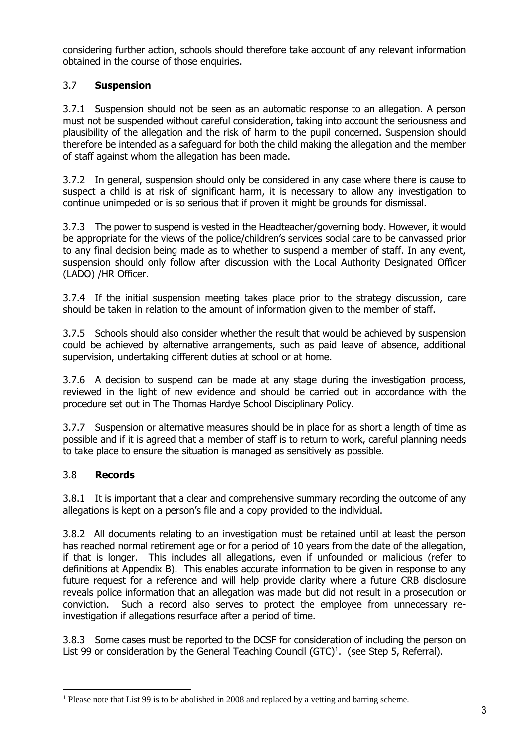considering further action, schools should therefore take account of any relevant information obtained in the course of those enquiries.

# 3.7 **Suspension**

3.7.1 Suspension should not be seen as an automatic response to an allegation. A person must not be suspended without careful consideration, taking into account the seriousness and plausibility of the allegation and the risk of harm to the pupil concerned. Suspension should therefore be intended as a safeguard for both the child making the allegation and the member of staff against whom the allegation has been made.

3.7.2 In general, suspension should only be considered in any case where there is cause to suspect a child is at risk of significant harm, it is necessary to allow any investigation to continue unimpeded or is so serious that if proven it might be grounds for dismissal.

3.7.3 The power to suspend is vested in the Headteacher/governing body. However, it would be appropriate for the views of the police/children's services social care to be canvassed prior to any final decision being made as to whether to suspend a member of staff. In any event, suspension should only follow after discussion with the Local Authority Designated Officer (LADO) /HR Officer.

3.7.4 If the initial suspension meeting takes place prior to the strategy discussion, care should be taken in relation to the amount of information given to the member of staff.

3.7.5 Schools should also consider whether the result that would be achieved by suspension could be achieved by alternative arrangements, such as paid leave of absence, additional supervision, undertaking different duties at school or at home.

3.7.6 A decision to suspend can be made at any stage during the investigation process, reviewed in the light of new evidence and should be carried out in accordance with the procedure set out in The Thomas Hardye School Disciplinary Policy.

3.7.7 Suspension or alternative measures should be in place for as short a length of time as possible and if it is agreed that a member of staff is to return to work, careful planning needs to take place to ensure the situation is managed as sensitively as possible.

### 3.8 **Records**

 $\overline{a}$ 

3.8.1 It is important that a clear and comprehensive summary recording the outcome of any allegations is kept on a person's file and a copy provided to the individual.

3.8.2 All documents relating to an investigation must be retained until at least the person has reached normal retirement age or for a period of 10 years from the date of the allegation, if that is longer. This includes all allegations, even if unfounded or malicious (refer to definitions at Appendix B). This enables accurate information to be given in response to any future request for a reference and will help provide clarity where a future CRB disclosure reveals police information that an allegation was made but did not result in a prosecution or conviction. Such a record also serves to protect the employee from unnecessary reinvestigation if allegations resurface after a period of time.

3.8.3 Some cases must be reported to the DCSF for consideration of including the person on List 99 or consideration by the General Teaching Council (GTC)<sup>1</sup>. (see Step 5, Referral).

<sup>1</sup> Please note that List 99 is to be abolished in 2008 and replaced by a vetting and barring scheme.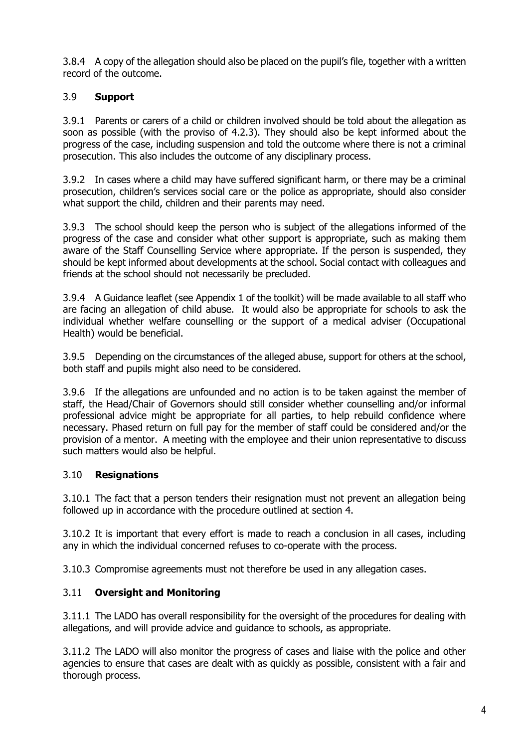3.8.4 A copy of the allegation should also be placed on the pupil's file, together with a written record of the outcome.

# 3.9 **Support**

3.9.1 Parents or carers of a child or children involved should be told about the allegation as soon as possible (with the proviso of 4.2.3). They should also be kept informed about the progress of the case, including suspension and told the outcome where there is not a criminal prosecution. This also includes the outcome of any disciplinary process.

3.9.2 In cases where a child may have suffered significant harm, or there may be a criminal prosecution, children's services social care or the police as appropriate, should also consider what support the child, children and their parents may need.

3.9.3 The school should keep the person who is subject of the allegations informed of the progress of the case and consider what other support is appropriate, such as making them aware of the Staff Counselling Service where appropriate. If the person is suspended, they should be kept informed about developments at the school. Social contact with colleagues and friends at the school should not necessarily be precluded.

3.9.4 A Guidance leaflet (see Appendix 1 of the toolkit) will be made available to all staff who are facing an allegation of child abuse. It would also be appropriate for schools to ask the individual whether welfare counselling or the support of a medical adviser (Occupational Health) would be beneficial.

3.9.5 Depending on the circumstances of the alleged abuse, support for others at the school, both staff and pupils might also need to be considered.

3.9.6 If the allegations are unfounded and no action is to be taken against the member of staff, the Head/Chair of Governors should still consider whether counselling and/or informal professional advice might be appropriate for all parties, to help rebuild confidence where necessary. Phased return on full pay for the member of staff could be considered and/or the provision of a mentor. A meeting with the employee and their union representative to discuss such matters would also be helpful.

### 3.10 **Resignations**

3.10.1 The fact that a person tenders their resignation must not prevent an allegation being followed up in accordance with the procedure outlined at section 4.

3.10.2 It is important that every effort is made to reach a conclusion in all cases, including any in which the individual concerned refuses to co-operate with the process.

3.10.3 Compromise agreements must not therefore be used in any allegation cases.

### 3.11 **Oversight and Monitoring**

3.11.1 The LADO has overall responsibility for the oversight of the procedures for dealing with allegations, and will provide advice and guidance to schools, as appropriate.

3.11.2 The LADO will also monitor the progress of cases and liaise with the police and other agencies to ensure that cases are dealt with as quickly as possible, consistent with a fair and thorough process.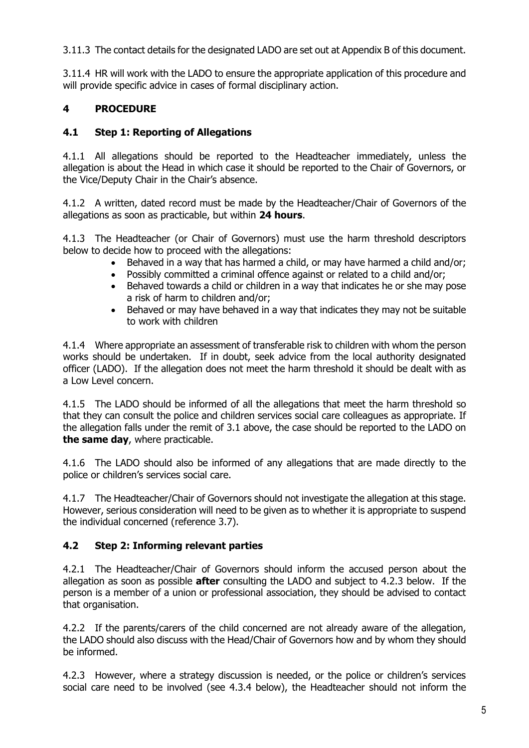3.11.3 The contact details for the designated LADO are set out at Appendix B of this document.

3.11.4 HR will work with the LADO to ensure the appropriate application of this procedure and will provide specific advice in cases of formal disciplinary action.

# **4 PROCEDURE**

# **4.1 Step 1: Reporting of Allegations**

4.1.1 All allegations should be reported to the Headteacher immediately, unless the allegation is about the Head in which case it should be reported to the Chair of Governors, or the Vice/Deputy Chair in the Chair's absence.

4.1.2 A written, dated record must be made by the Headteacher/Chair of Governors of the allegations as soon as practicable, but within **24 hours**.

4.1.3 The Headteacher (or Chair of Governors) must use the harm threshold descriptors below to decide how to proceed with the allegations:

- Behaved in a way that has harmed a child, or may have harmed a child and/or;
- Possibly committed a criminal offence against or related to a child and/or;
- Behaved towards a child or children in a way that indicates he or she may pose a risk of harm to children and/or;
- Behaved or may have behaved in a way that indicates they may not be suitable to work with children

4.1.4 Where appropriate an assessment of transferable risk to children with whom the person works should be undertaken. If in doubt, seek advice from the local authority designated officer (LADO). If the allegation does not meet the harm threshold it should be dealt with as a Low Level concern.

4.1.5 The LADO should be informed of all the allegations that meet the harm threshold so that they can consult the police and children services social care colleagues as appropriate. If the allegation falls under the remit of 3.1 above, the case should be reported to the LADO on **the same day**, where practicable.

4.1.6 The LADO should also be informed of any allegations that are made directly to the police or children's services social care.

4.1.7 The Headteacher/Chair of Governors should not investigate the allegation at this stage. However, serious consideration will need to be given as to whether it is appropriate to suspend the individual concerned (reference 3.7).

### **4.2 Step 2: Informing relevant parties**

4.2.1 The Headteacher/Chair of Governors should inform the accused person about the allegation as soon as possible **after** consulting the LADO and subject to 4.2.3 below. If the person is a member of a union or professional association, they should be advised to contact that organisation.

4.2.2 If the parents/carers of the child concerned are not already aware of the allegation, the LADO should also discuss with the Head/Chair of Governors how and by whom they should be informed.

4.2.3 However, where a strategy discussion is needed, or the police or children's services social care need to be involved (see 4.3.4 below), the Headteacher should not inform the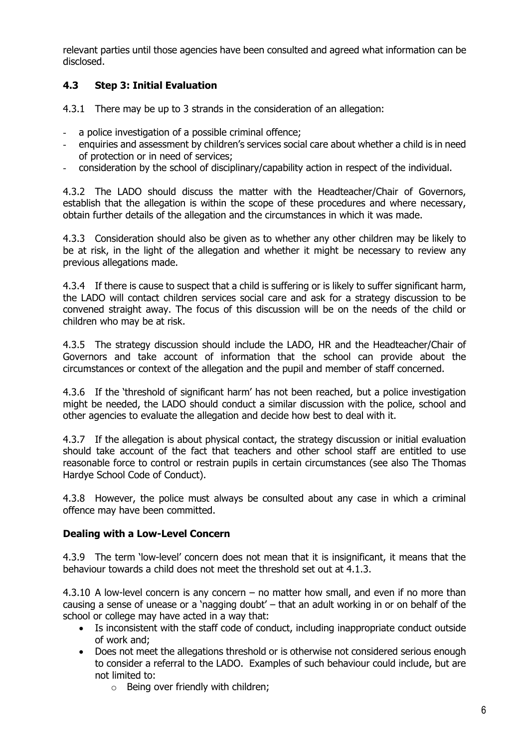relevant parties until those agencies have been consulted and agreed what information can be disclosed.

# **4.3 Step 3: Initial Evaluation**

4.3.1 There may be up to 3 strands in the consideration of an allegation:

- a police investigation of a possible criminal offence;
- enquiries and assessment by children's services social care about whether a child is in need of protection or in need of services;
- consideration by the school of disciplinary/capability action in respect of the individual.

4.3.2 The LADO should discuss the matter with the Headteacher/Chair of Governors, establish that the allegation is within the scope of these procedures and where necessary, obtain further details of the allegation and the circumstances in which it was made.

4.3.3 Consideration should also be given as to whether any other children may be likely to be at risk, in the light of the allegation and whether it might be necessary to review any previous allegations made.

4.3.4 If there is cause to suspect that a child is suffering or is likely to suffer significant harm, the LADO will contact children services social care and ask for a strategy discussion to be convened straight away. The focus of this discussion will be on the needs of the child or children who may be at risk.

4.3.5 The strategy discussion should include the LADO, HR and the Headteacher/Chair of Governors and take account of information that the school can provide about the circumstances or context of the allegation and the pupil and member of staff concerned.

4.3.6 If the 'threshold of significant harm' has not been reached, but a police investigation might be needed, the LADO should conduct a similar discussion with the police, school and other agencies to evaluate the allegation and decide how best to deal with it.

4.3.7 If the allegation is about physical contact, the strategy discussion or initial evaluation should take account of the fact that teachers and other school staff are entitled to use reasonable force to control or restrain pupils in certain circumstances (see also The Thomas Hardye School Code of Conduct).

4.3.8 However, the police must always be consulted about any case in which a criminal offence may have been committed.

#### **Dealing with a Low-Level Concern**

4.3.9 The term 'low-level' concern does not mean that it is insignificant, it means that the behaviour towards a child does not meet the threshold set out at 4.1.3.

4.3.10 A low-level concern is any concern – no matter how small, and even if no more than causing a sense of unease or a 'nagging doubt' – that an adult working in or on behalf of the school or college may have acted in a way that:

- Is inconsistent with the staff code of conduct, including inappropriate conduct outside of work and;
- Does not meet the allegations threshold or is otherwise not considered serious enough to consider a referral to the LADO. Examples of such behaviour could include, but are not limited to:
	- $\circ$  Being over friendly with children;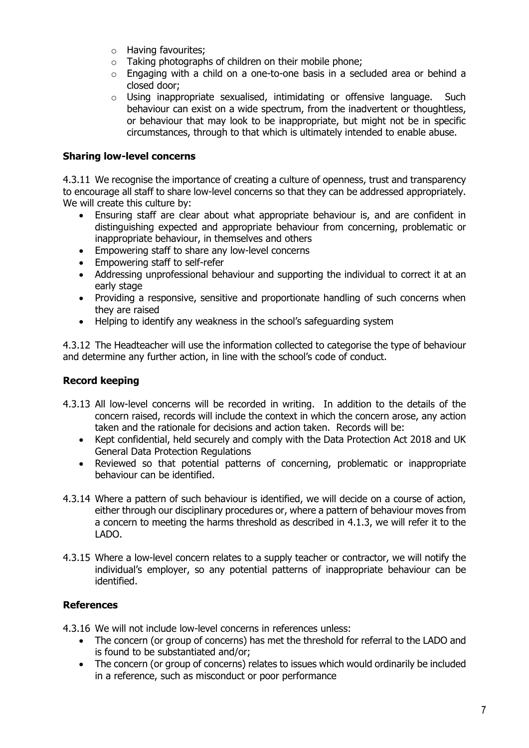- o Having favourites;
- o Taking photographs of children on their mobile phone;
- $\circ$  Engaging with a child on a one-to-one basis in a secluded area or behind a closed door;
- $\circ$  Using inappropriate sexualised, intimidating or offensive language. Such behaviour can exist on a wide spectrum, from the inadvertent or thoughtless, or behaviour that may look to be inappropriate, but might not be in specific circumstances, through to that which is ultimately intended to enable abuse.

#### **Sharing low-level concerns**

4.3.11 We recognise the importance of creating a culture of openness, trust and transparency to encourage all staff to share low-level concerns so that they can be addressed appropriately. We will create this culture by:

- Ensuring staff are clear about what appropriate behaviour is, and are confident in distinguishing expected and appropriate behaviour from concerning, problematic or inappropriate behaviour, in themselves and others
- Empowering staff to share any low-level concerns
- Empowering staff to self-refer
- Addressing unprofessional behaviour and supporting the individual to correct it at an early stage
- Providing a responsive, sensitive and proportionate handling of such concerns when they are raised
- Helping to identify any weakness in the school's safeguarding system

4.3.12 The Headteacher will use the information collected to categorise the type of behaviour and determine any further action, in line with the school's code of conduct.

### **Record keeping**

- 4.3.13 All low-level concerns will be recorded in writing. In addition to the details of the concern raised, records will include the context in which the concern arose, any action taken and the rationale for decisions and action taken. Records will be:
	- Kept confidential, held securely and comply with the Data Protection Act 2018 and UK General Data Protection Regulations
	- Reviewed so that potential patterns of concerning, problematic or inappropriate behaviour can be identified.
- 4.3.14 Where a pattern of such behaviour is identified, we will decide on a course of action, either through our disciplinary procedures or, where a pattern of behaviour moves from a concern to meeting the harms threshold as described in 4.1.3, we will refer it to the LADO.
- 4.3.15 Where a low-level concern relates to a supply teacher or contractor, we will notify the individual's employer, so any potential patterns of inappropriate behaviour can be identified.

### **References**

4.3.16 We will not include low-level concerns in references unless:

- The concern (or group of concerns) has met the threshold for referral to the LADO and is found to be substantiated and/or;
- The concern (or group of concerns) relates to issues which would ordinarily be included in a reference, such as misconduct or poor performance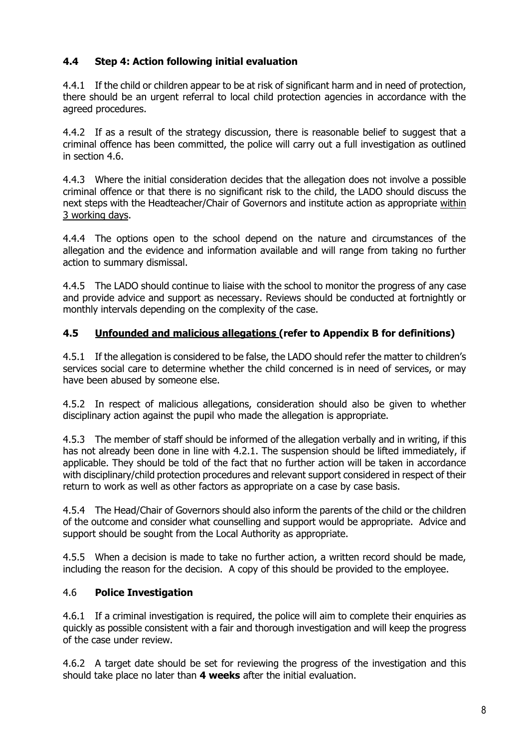# **4.4 Step 4: Action following initial evaluation**

4.4.1 If the child or children appear to be at risk of significant harm and in need of protection, there should be an urgent referral to local child protection agencies in accordance with the agreed procedures.

4.4.2 If as a result of the strategy discussion, there is reasonable belief to suggest that a criminal offence has been committed, the police will carry out a full investigation as outlined in section 4.6.

4.4.3 Where the initial consideration decides that the allegation does not involve a possible criminal offence or that there is no significant risk to the child, the LADO should discuss the next steps with the Headteacher/Chair of Governors and institute action as appropriate within 3 working days.

4.4.4 The options open to the school depend on the nature and circumstances of the allegation and the evidence and information available and will range from taking no further action to summary dismissal.

4.4.5 The LADO should continue to liaise with the school to monitor the progress of any case and provide advice and support as necessary. Reviews should be conducted at fortnightly or monthly intervals depending on the complexity of the case.

### **4.5 Unfounded and malicious allegations (refer to Appendix B for definitions)**

4.5.1 If the allegation is considered to be false, the LADO should refer the matter to children's services social care to determine whether the child concerned is in need of services, or may have been abused by someone else.

4.5.2 In respect of malicious allegations, consideration should also be given to whether disciplinary action against the pupil who made the allegation is appropriate.

4.5.3 The member of staff should be informed of the allegation verbally and in writing, if this has not already been done in line with 4.2.1. The suspension should be lifted immediately, if applicable. They should be told of the fact that no further action will be taken in accordance with disciplinary/child protection procedures and relevant support considered in respect of their return to work as well as other factors as appropriate on a case by case basis.

4.5.4 The Head/Chair of Governors should also inform the parents of the child or the children of the outcome and consider what counselling and support would be appropriate. Advice and support should be sought from the Local Authority as appropriate.

4.5.5 When a decision is made to take no further action, a written record should be made, including the reason for the decision. A copy of this should be provided to the employee.

### 4.6 **Police Investigation**

4.6.1 If a criminal investigation is required, the police will aim to complete their enquiries as quickly as possible consistent with a fair and thorough investigation and will keep the progress of the case under review.

4.6.2 A target date should be set for reviewing the progress of the investigation and this should take place no later than **4 weeks** after the initial evaluation.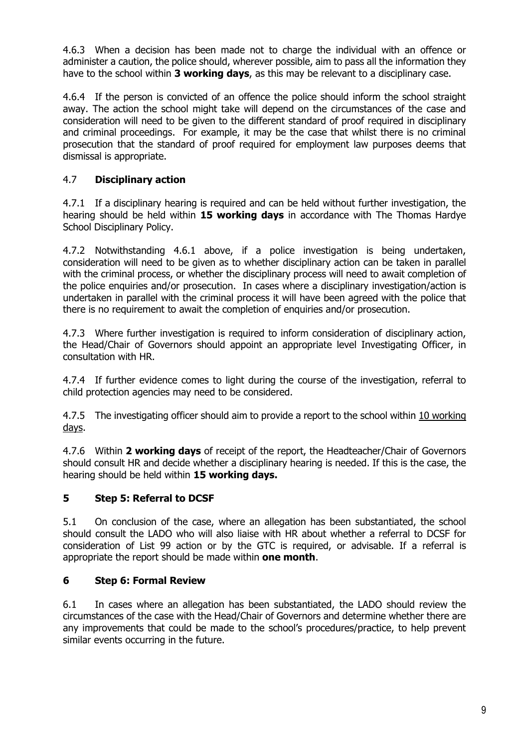4.6.3 When a decision has been made not to charge the individual with an offence or administer a caution, the police should, wherever possible, aim to pass all the information they have to the school within **3 working days**, as this may be relevant to a disciplinary case.

4.6.4 If the person is convicted of an offence the police should inform the school straight away. The action the school might take will depend on the circumstances of the case and consideration will need to be given to the different standard of proof required in disciplinary and criminal proceedings. For example, it may be the case that whilst there is no criminal prosecution that the standard of proof required for employment law purposes deems that dismissal is appropriate.

# 4.7 **Disciplinary action**

4.7.1 If a disciplinary hearing is required and can be held without further investigation, the hearing should be held within **15 working days** in accordance with The Thomas Hardye School Disciplinary Policy.

4.7.2 Notwithstanding 4.6.1 above, if a police investigation is being undertaken, consideration will need to be given as to whether disciplinary action can be taken in parallel with the criminal process, or whether the disciplinary process will need to await completion of the police enquiries and/or prosecution. In cases where a disciplinary investigation/action is undertaken in parallel with the criminal process it will have been agreed with the police that there is no requirement to await the completion of enquiries and/or prosecution.

4.7.3 Where further investigation is required to inform consideration of disciplinary action, the Head/Chair of Governors should appoint an appropriate level Investigating Officer, in consultation with HR.

4.7.4 If further evidence comes to light during the course of the investigation, referral to child protection agencies may need to be considered.

4.7.5 The investigating officer should aim to provide a report to the school within 10 working days.

4.7.6 Within **2 working days** of receipt of the report, the Headteacher/Chair of Governors should consult HR and decide whether a disciplinary hearing is needed. If this is the case, the hearing should be held within **15 working days.**

### **5 Step 5: Referral to DCSF**

5.1 On conclusion of the case, where an allegation has been substantiated, the school should consult the LADO who will also liaise with HR about whether a referral to DCSF for consideration of List 99 action or by the GTC is required, or advisable. If a referral is appropriate the report should be made within **one month**.

### **6 Step 6: Formal Review**

6.1 In cases where an allegation has been substantiated, the LADO should review the circumstances of the case with the Head/Chair of Governors and determine whether there are any improvements that could be made to the school's procedures/practice, to help prevent similar events occurring in the future.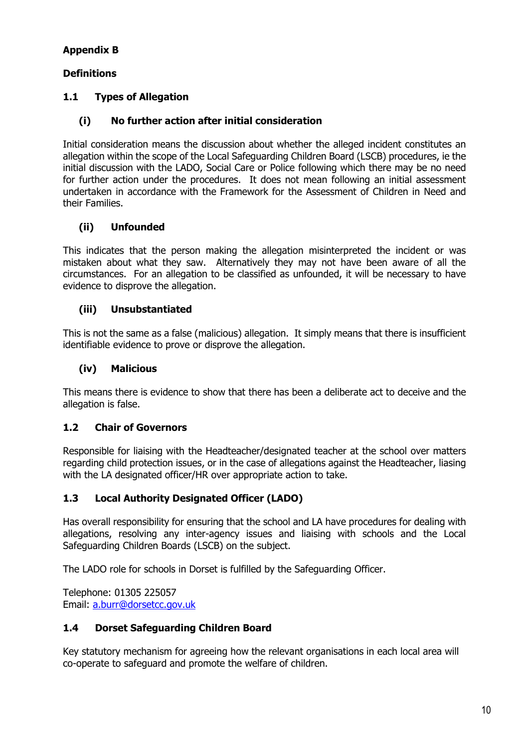# **Appendix B**

#### **Definitions**

# **1.1 Types of Allegation**

# **(i) No further action after initial consideration**

Initial consideration means the discussion about whether the alleged incident constitutes an allegation within the scope of the Local Safeguarding Children Board (LSCB) procedures, ie the initial discussion with the LADO, Social Care or Police following which there may be no need for further action under the procedures. It does not mean following an initial assessment undertaken in accordance with the Framework for the Assessment of Children in Need and their Families.

### **(ii) Unfounded**

This indicates that the person making the allegation misinterpreted the incident or was mistaken about what they saw. Alternatively they may not have been aware of all the circumstances. For an allegation to be classified as unfounded, it will be necessary to have evidence to disprove the allegation.

### **(iii) Unsubstantiated**

This is not the same as a false (malicious) allegation. It simply means that there is insufficient identifiable evidence to prove or disprove the allegation.

#### **(iv) Malicious**

This means there is evidence to show that there has been a deliberate act to deceive and the allegation is false.

### **1.2 Chair of Governors**

Responsible for liaising with the Headteacher/designated teacher at the school over matters regarding child protection issues, or in the case of allegations against the Headteacher, liasing with the LA designated officer/HR over appropriate action to take.

### **1.3 Local Authority Designated Officer (LADO)**

Has overall responsibility for ensuring that the school and LA have procedures for dealing with allegations, resolving any inter-agency issues and liaising with schools and the Local Safeguarding Children Boards (LSCB) on the subject.

The LADO role for schools in Dorset is fulfilled by the Safeguarding Officer.

Telephone: 01305 225057 Email: [a.burr@dorsetcc.gov.uk](mailto:a.burr@dorsetcc.gov.uk)

#### **1.4 Dorset Safeguarding Children Board**

Key statutory mechanism for agreeing how the relevant organisations in each local area will co-operate to safeguard and promote the welfare of children.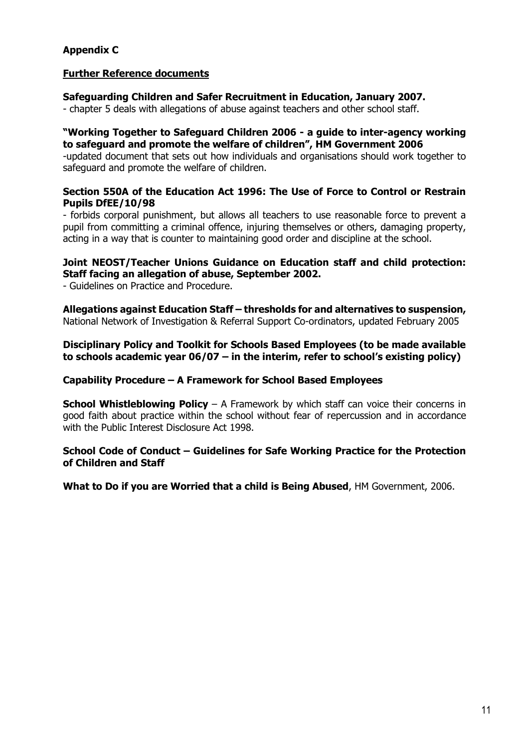# **Appendix C**

#### **Further Reference documents**

#### **Safeguarding Children and Safer Recruitment in Education, January 2007.**

- chapter 5 deals with allegations of abuse against teachers and other school staff.

#### **"Working Together to Safeguard Children 2006 - a guide to inter-agency working to safeguard and promote the welfare of children", HM Government 2006**

-updated document that sets out how individuals and organisations should work together to safeguard and promote the welfare of children.

#### **Section 550A of the Education Act 1996: The Use of Force to Control or Restrain Pupils DfEE/10/98**

- forbids corporal punishment, but allows all teachers to use reasonable force to prevent a pupil from committing a criminal offence, injuring themselves or others, damaging property, acting in a way that is counter to maintaining good order and discipline at the school.

#### **Joint NEOST/Teacher Unions Guidance on Education staff and child protection: Staff facing an allegation of abuse, September 2002.**

- Guidelines on Practice and Procedure.

**Allegations against Education Staff – thresholds for and alternatives to suspension,**  National Network of Investigation & Referral Support Co-ordinators, updated February 2005

#### **Disciplinary Policy and Toolkit for Schools Based Employees (to be made available to schools academic year 06/07 – in the interim, refer to school's existing policy)**

#### **Capability Procedure – A Framework for School Based Employees**

**School Whistleblowing Policy** – A Framework by which staff can voice their concerns in good faith about practice within the school without fear of repercussion and in accordance with the Public Interest Disclosure Act 1998.

#### **School Code of Conduct – Guidelines for Safe Working Practice for the Protection of Children and Staff**

**What to Do if you are Worried that a child is Being Abused**, HM Government, 2006.